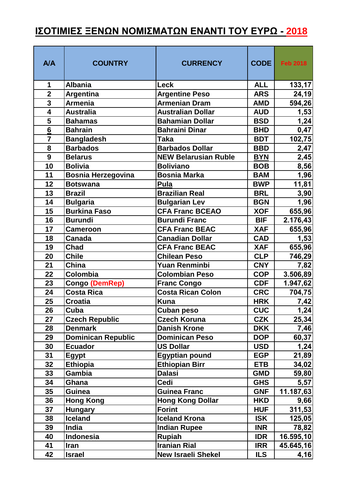## **ΙΣΟΤΙΜΙΕΣ ΞΕΝΩΝ ΝΟΜΙΣΜΑΤΩΝ ΕΝΑΝΤΙ ΤΟΥ ΕΥΡΩ - 2018**

| <b>A/A</b>              | <b>COUNTRY</b>            | <b>CURRENCY</b>             | CODE       | <b>Feb 2018</b> |
|-------------------------|---------------------------|-----------------------------|------------|-----------------|
| 1                       | <b>Albania</b>            | <b>Leck</b>                 | <b>ALL</b> | 133,17          |
| $\overline{\mathbf{2}}$ | <b>Argentina</b>          | <b>Argentine Peso</b>       | <b>ARS</b> | 24,19           |
| $\overline{3}$          | <b>Armenia</b>            | <b>Armenian Dram</b>        | <b>AMD</b> | 594,26          |
| 4                       | <b>Australia</b>          | Australian Dollar           | <b>AUD</b> | 1,53            |
| $\overline{\mathbf{5}}$ | <b>Bahamas</b>            | Bahamian Dollar             | <b>BSD</b> | 1,24            |
| $\frac{6}{7}$           | <b>Bahrain</b>            | <b>Bahraini Dinar</b>       | <b>BHD</b> | 0,47            |
|                         | <b>Bangladesh</b>         | <b>Taka</b>                 | <b>BDT</b> | 102,75          |
| 8                       | <b>Barbados</b>           | <b>Barbados Dollar</b>      | <b>BBD</b> | 2,47            |
| $\overline{9}$          | <b>Belarus</b>            | <b>NEW Belarusian Ruble</b> | <b>BYN</b> | 2,45            |
| 10                      | <b>Bolivia</b>            | <b>Boliviano</b>            | <b>BOB</b> | 8,56            |
| 11                      | <b>Bosnia Herzegovina</b> | <b>Bosnia Marka</b>         | <b>BAM</b> | 1,96            |
| 12                      | <b>Botswana</b>           | Pula                        | <b>BWP</b> | 11,81           |
| 13                      | <b>Brazil</b>             | <b>Brazilian Real</b>       | <b>BRL</b> | 3,90            |
| 14                      | <b>Bulgaria</b>           | <b>Bulgarian Lev</b>        | <b>BGN</b> | 1,96            |
| 15                      | <b>Burkina Faso</b>       | <b>CFA Franc BCEAO</b>      | <b>XOF</b> | 655,96          |
| 16                      | <b>Burundi</b>            | <b>Burundi Franc</b>        | <b>BIF</b> | 2.176,43        |
| 17                      | Cameroon                  | <b>CFA Franc BEAC</b>       | <b>XAF</b> | 655,96          |
| 18                      | Canada                    | <b>Canadian Dollar</b>      | <b>CAD</b> | 1,53            |
| 19                      | <b>Chad</b>               | <b>CFA Franc BEAC</b>       | <b>XAF</b> | 655,96          |
| 20                      | <b>Chile</b>              | Chilean Peso                | <b>CLP</b> | 746,29          |
| 21                      | China                     | <b>Yuan Renminbi</b>        | <b>CNY</b> | 7,82            |
| 22                      | Colombia                  | <b>Colombian Peso</b>       | <b>COP</b> | 3.506,89        |
| 23                      | <b>Congo (DemRep)</b>     | <b>Franc Congo</b>          | <b>CDF</b> | 1.947,62        |
| 24                      | <b>Costa Rica</b>         | <b>Costa Rican Colon</b>    | <b>CRC</b> | 704,75          |
| 25                      | Croatia                   | <b>Kuna</b>                 | <b>HRK</b> | <u>7,42  </u>   |
| 26                      | Cuba                      | <b>Cuban peso</b>           | <b>CUC</b> | 1,24            |
| 27                      | <b>Czech Republic</b>     | <b>Czech Koruna</b>         | <b>CZK</b> | 25,34           |
| 28                      | <b>Denmark</b>            | <b>Danish Krone</b>         | <b>DKK</b> | 7,46            |
| 29                      | <b>Dominican Republic</b> | <b>Dominican Peso</b>       | <b>DOP</b> | 60,37           |
| 30                      | <b>Ecuador</b>            | <b>US Dollar</b>            | <b>USD</b> | 1,24            |
| 31                      | Egypt                     | <b>Egyptian pound</b>       | <b>EGP</b> | 21,89           |
| 32                      | <b>Ethiopia</b>           | <b>Ethiopian Birr</b>       | <b>ETB</b> | 34,02           |
| 33                      | Gambia                    | <b>Dalasi</b>               | <b>GMD</b> | 59,80           |
| 34                      | Ghana                     | Cedi                        | <b>GHS</b> | 5,57            |
| 35                      | Guinea                    | <b>Guinea Franc</b>         | <b>GNF</b> | 11.187,63       |
| 36                      | <b>Hong Kong</b>          | <b>Hong Kong Dollar</b>     | <b>HKD</b> | 9,66            |
| 37                      | <b>Hungary</b>            | <b>Forint</b>               | <b>HUF</b> | 311,53          |
| 38                      | <b>Iceland</b>            | <b>Iceland Krona</b>        | <b>ISK</b> | 125,05          |
| 39                      | India                     | <b>Indian Rupee</b>         | <b>INR</b> | 78,82           |
| 40                      | <b>Indonesia</b>          | <b>Rupiah</b>               | <b>IDR</b> | 16.595,10       |
| 41                      | Iran                      | <b>Iranian Rial</b>         | <b>IRR</b> | 45.645,16       |
| 42                      | <b>Israel</b>             | <b>New Israeli Shekel</b>   | <b>ILS</b> | 4,16            |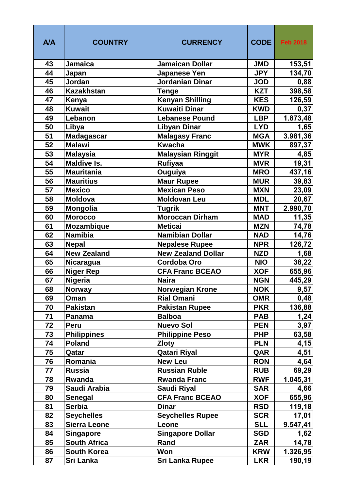| <b>A/A</b> | <b>COUNTRY</b>      | <b>CURRENCY</b>           | <b>CODE</b> | <b>Feb 2018</b> |
|------------|---------------------|---------------------------|-------------|-----------------|
| 43         | <b>Jamaica</b>      | <b>Jamaican Dollar</b>    | <b>JMD</b>  | 153,51          |
| 44         | Japan               | Japanese Yen              | <b>JPY</b>  | 134,70          |
| 45         | Jordan              | Jordanian Dinar           | <b>JOD</b>  | 0,88            |
| 46         | <b>Kazakhstan</b>   | <b>Tenge</b>              | <b>KZT</b>  | 398,58          |
| 47         | Kenya               | <b>Kenyan Shilling</b>    | <b>KES</b>  | 126,59          |
| 48         | <b>Kuwait</b>       | <b>Kuwaiti Dinar</b>      | <b>KWD</b>  | 0,37            |
| 49         | Lebanon             | <b>Lebanese Pound</b>     | <b>LBP</b>  | 1.873,48        |
| 50         | Libya               | <b>Libyan Dinar</b>       | <b>LYD</b>  | 1,65            |
| 51         | <b>Madagascar</b>   | <b>Malagasy Franc</b>     | <b>MGA</b>  | 3.981,36        |
| 52         | <b>Malawi</b>       | <b>Kwacha</b>             | <b>MWK</b>  | 897,37          |
| 53         | <b>Malaysia</b>     | <b>Malaysian Ringgit</b>  | <b>MYR</b>  | 4,85            |
| 54         | <b>Maldive Is.</b>  | <b>Rufiyaa</b>            | <b>MVR</b>  | 19,31           |
| 55         | <b>Mauritania</b>   | Ouguiya                   | <b>MRO</b>  | 437,16          |
| 56         | <b>Mauritius</b>    | <b>Maur Rupee</b>         | <b>MUR</b>  | 39,83           |
| 57         | <b>Mexico</b>       | <b>Mexican Peso</b>       | <b>MXN</b>  | 23,09           |
| 58         | <b>Moldova</b>      | <b>Moldovan Leu</b>       | <b>MDL</b>  | 20,67           |
| 59         | Mongolia            | <b>Tugrik</b>             | <b>MNT</b>  | 2.990,70        |
| 60         | <b>Morocco</b>      | <b>Moroccan Dirham</b>    | <b>MAD</b>  | 11,35           |
| 61         | Mozambique          | <b>Meticai</b>            | <b>MZN</b>  | 74,78           |
| 62         | <b>Namibia</b>      | <b>Namibian Dollar</b>    | <b>NAD</b>  | 14,76           |
| 63         | <b>Nepal</b>        | <b>Nepalese Rupee</b>     | <b>NPR</b>  | 126,72          |
| 64         | <b>New Zealand</b>  | <b>New Zealand Dollar</b> | <b>NZD</b>  | 1,68            |
| 65         | Nicaragua           | <b>Cordoba Oro</b>        | <b>NIO</b>  | 38,22           |
| 66         | <b>Niger Rep</b>    | <b>CFA Franc BCEAO</b>    | <b>XOF</b>  | 655,96          |
| 67         | Nigeria             | <b>Naira</b>              | <b>NGN</b>  | 445,29          |
| 68         | <b>Norway</b>       | <b>Norwegian Krone</b>    | <b>NOK</b>  | 9,57            |
| 69         | Oman                | <b>Rial Omani</b>         | <b>OMR</b>  | 0,48            |
| 70         | <b>Pakistan</b>     | <b>Pakistan Rupee</b>     | <b>PKR</b>  | 136,88          |
| 71         | Panama              | <b>Balboa</b>             | <b>PAB</b>  | 1,24            |
| 72         | <b>Peru</b>         | <b>Nuevo Sol</b>          | <b>PEN</b>  | 3,97            |
| 73         | <b>Philippines</b>  | <b>Philippine Peso</b>    | <b>PHP</b>  | 63,58           |
| 74         | <b>Poland</b>       | <b>Zloty</b>              | <b>PLN</b>  | 4,15            |
| 75         | Qatar               | Qatari Riyal              | QAR         | 4,51            |
| 76         | Romania             | <b>New Leu</b>            | <b>RON</b>  | 4,64            |
| 77         | <b>Russia</b>       | <b>Russian Ruble</b>      | <b>RUB</b>  | 69,29           |
| 78         | Rwanda              | <b>Rwanda Franc</b>       | <b>RWF</b>  | 1.045,31        |
| 79         | Saudi Arabia        | Saudi Riyal               | <b>SAR</b>  | 4,66            |
| 80         | <b>Senegal</b>      | <b>CFA Franc BCEAO</b>    | <b>XOF</b>  | 655,96          |
| 81         | <b>Serbia</b>       | <b>Dinar</b>              | <b>RSD</b>  | 119,18          |
| 82         | <b>Seychelles</b>   | <b>Seychelles Rupee</b>   | <b>SCR</b>  | 17,01           |
| 83         | <b>Sierra Leone</b> | Leone                     | <b>SLL</b>  | 9.547,41        |
| 84         | <b>Singapore</b>    | <b>Singapore Dollar</b>   | <b>SGD</b>  | <u>1,62</u>     |
| 85         | <b>South Africa</b> | Rand                      | <b>ZAR</b>  | 14,78           |
| 86         | <b>South Korea</b>  | Won                       | <b>KRW</b>  | 1.326,95        |
| 87         | Sri Lanka           | <b>Sri Lanka Rupee</b>    | <b>LKR</b>  | 190,19          |